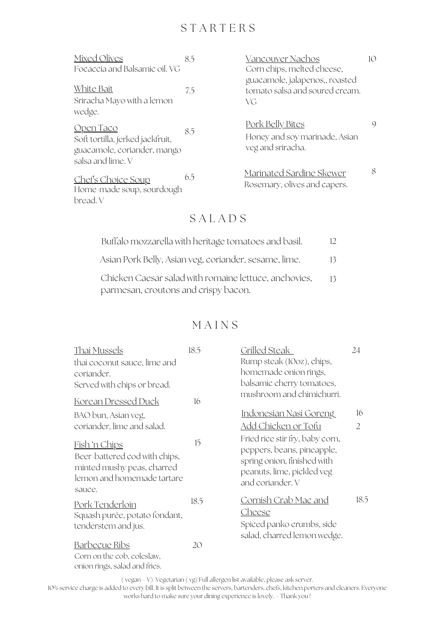## S T A R T E R S

| Mixed Olives                                                                                             | 8.5 | Vancouver Nachos                                                              | 10 |
|----------------------------------------------------------------------------------------------------------|-----|-------------------------------------------------------------------------------|----|
| Focaccia and Balsamic oil. VG                                                                            |     | Corn chips, melted cheese,<br>guacamole, jalapenos,, roasted                  |    |
| White Bait                                                                                               | 7.5 | tomato salsa and soured cream.                                                |    |
| Sriracha Mayo with a lemon<br>wedge.                                                                     |     | VG                                                                            |    |
| <u>Open Taco</u><br>Soft tortilla, jerked jackfruit,<br>guacamole, coriander, mango<br>salsa and lime. V | 8.5 | <u>Pork Belly Bites</u><br>Honey and soy marinade, Asian<br>veg and sriracha. | 9  |
| <u>Chef's Choice Soup</u><br>Home-made soup, sourdough<br>bread. V                                       | 6.5 | Marinated Sardine Skewer<br>Rosemary, olives and capers.                      | 8  |

# S A L A D S

| Buffalo mozzarella with heritage tomatoes and basil.  | 12 |
|-------------------------------------------------------|----|
| Asian Pork Belly, Asian veg, coriander, sesame, lime. | 13 |
| Chicken Caesar salad with romaine lettuce, anchovies, | 13 |
| parmesan, croutons and crispy bacon.                  |    |

## **MAINS**

| <u>Thai Mussels</u>                                                                                                         | 18.5 | <u>Grilled Steak</u>                                                                                                                           | 24   |
|-----------------------------------------------------------------------------------------------------------------------------|------|------------------------------------------------------------------------------------------------------------------------------------------------|------|
| thai coconut sauce, lime and                                                                                                |      | Rump steak (10oz), chips,                                                                                                                      |      |
| coriander.                                                                                                                  |      | homemade onion rings,                                                                                                                          |      |
| Served with chips or bread.                                                                                                 |      | balsamic cherry tomatoes,                                                                                                                      |      |
| <u>Korean Dressed Duck</u>                                                                                                  | 16   | mushroom and chimichurri.                                                                                                                      |      |
| BAO bun, Asian veg,                                                                                                         |      | <u> Indonesian Nasi Goreng</u>                                                                                                                 | 16   |
| coriander, lime and salad.                                                                                                  |      | Add Chicken or Tofu                                                                                                                            | 2    |
| <u>Fish 'n Chips</u><br>Beer-battered cod with chips,<br>minted mushy peas, charred<br>lemon and homemade tartare<br>sauce. | 15   | Fried rice stir fry, baby corn,<br>peppers, beans, pineapple,<br>spring onion, finished with<br>peanuts, lime, pickled veg<br>and coriander. V |      |
| Pork Tenderloin<br>Squash purée, potato fondant,<br>tenderstem and jus.                                                     | 18.5 | <u> Cornish Crab Mac and</u><br>Cheese<br>Spiced panko crumbs, side<br>salad, charred lemon wedge.                                             | 18.5 |
| <u>Barbecue Ribs</u><br>Corn on the cob, coleslaw,<br>onion rings, salad and fries.                                         | 20   |                                                                                                                                                |      |

( vegan – V) Vegetarian ( vg) Full allergen list available, please ask server.

10% service charge is added to every bill. It is split between the servers, bartenders, chefs, kitchen porters and cleaners. Everyone works hard to make sure your dining experience is lovely. – Thank you !